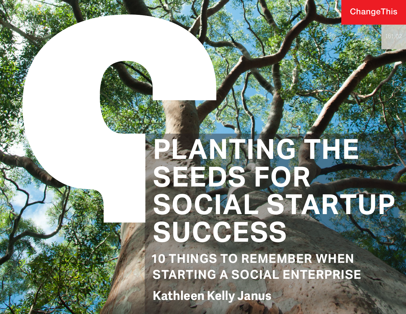#### **ChangeThis**

# **PLANTING THE SEEDS FOR**  SOCIAL STARTUP **SUCCESS**

**10 THINGS TO REMEMBER WHEN STARTING A SOCIAL ENTERPRISE Kathleen Kelly Janus**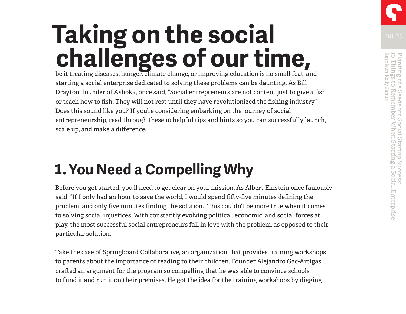## **Taking on the social challenges of our time,**

be it treating diseases, hunger, climate change, or improving education is no small feat, and starting a social enterprise dedicated to solving these problems can be daunting. As Bill Drayton, founder of Ashoka, once said, "Social entrepreneurs are not content just to give a fish or teach how to fish. They will not rest until they have revolutionized the fishing industry." Does this sound like you? If you're considering embarking on the journey of social entrepreneurship, read through these 10 helpful tips and hints so you can successfully launch, scale up, and make a difference.

### **1. You Need a Compelling Why**

Before you get started, you'll need to get clear on your mission. As Albert Einstein once famously said, "If I only had an hour to save the world, I would spend fifty-five minutes defining the problem, and only five minutes finding the solution." This couldn't be more true when it comes to solving social injustices. With constantly evolving political, economic, and social forces at play, the most successful social entrepreneurs fall in love with the problem, as opposed to their particular solution.

Take the case of Springboard Collaborative, an organization that provides training workshops to parents about the importance of reading to their children. Founder Alejandro Gac-Artigas crafted an argument for the program so compelling that he was able to convince schools to fund it and run it on their premises. He got the idea for the training workshops by digging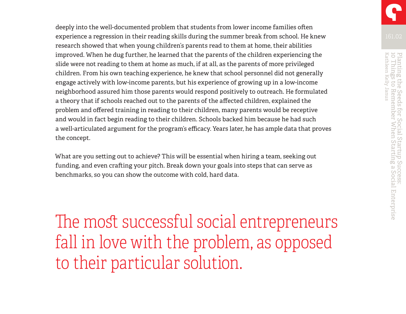deeply into the well-documented problem that students from lower income families often experience a regression in their reading skills during the summer break from school. He knew research showed that when young children's parents read to them at home, their abilities improved. When he dug further, he learned that the parents of the children experiencing the slide were not reading to them at home as much, if at all, as the parents of more privileged children. From his own teaching experience, he knew that school personnel did not generally engage actively with low-income parents, but his experience of growing up in a low-income neighborhood assured him those parents would respond positively to outreach. He formulated a theory that if schools reached out to the parents of the affected children, explained the problem and offered training in reading to their children, many parents would be receptive and would in fact begin reading to their children. Schools backed him because he had such a well-articulated argument for the program's efficacy. Years later, he has ample data that proves the concept.

What are you setting out to achieve? This will be essential when hiring a team, seeking out funding, and even crafting your pitch. Break down your goals into steps that can serve as benchmarks, so you can show the outcome with cold, hard data.

The most successful social entrepreneurs fall in love with the problem, as opposed to their particular solution.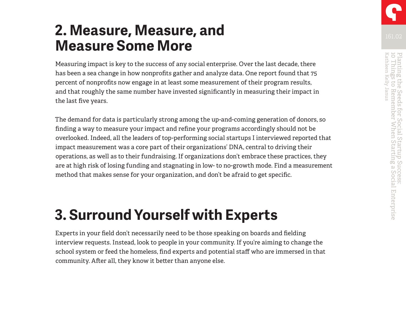#### **2. Measure, Measure, and Measure Some More**

Measuring impact is key to the success of any social enterprise. Over the last decade, there has been a sea change in how nonprofits gather and analyze data. One report found that 75 percent of nonprofits now engage in at least some measurement of their program results, and that roughly the same number have invested significantly in measuring their impact in the last five years.

The demand for data is particularly strong among the up-and-coming generation of donors, so finding a way to measure your impact and refine your programs accordingly should not be overlooked. Indeed, all the leaders of top-performing social startups I interviewed reported that impact measurement was a core part of their organizations' DNA, central to driving their operations, as well as to their fundraising. If organizations don't embrace these practices, they are at high risk of losing funding and stagnating in low- to no-growth mode. Find a measurement method that makes sense for your organization, and don't be afraid to get specific.

### **3. Surround Yourself with Experts**

Experts in your field don't necessarily need to be those speaking on boards and fielding interview requests. Instead, look to people in your community. If you're aiming to change the school system or feed the homeless, find experts and potential staff who are immersed in that community. After all, they know it better than anyone else.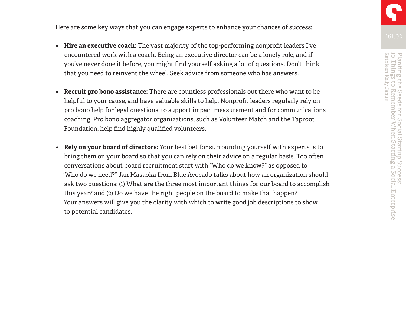Here are some key ways that you can engage experts to enhance your chances of success:

- **• Hire an executive coach:** The vast majority of the top-performing nonprofit leaders I've encountered work with a coach. Being an executive director can be a lonely role, and if you've never done it before, you might find yourself asking a lot of questions. Don't think that you need to reinvent the wheel. Seek advice from someone who has answers.
- **• Recruit pro bono assistance:** There are countless professionals out there who want to be helpful to your cause, and have valuable skills to help. Nonprofit leaders regularly rely on pro bono help for legal questions, to support impact measurement and for communications coaching. Pro bono aggregator organizations, such as Volunteer Match and the Taproot Foundation, help find highly qualified volunteers.
- **• Rely on your board of directors:** Your best bet for surrounding yourself with experts is to bring them on your board so that you can rely on their advice on a regular basis. Too often conversations about board recruitment start with "Who do we know?" as opposed to "Who do we need?" Jan Masaoka from Blue Avocado talks about how an organization should ask two questions: (1) What are the three most important things for our board to accomplish this year? and (2) Do we have the right people on the board to make that happen? Your answers will give you the clarity with which to write good job descriptions to show to potential candidates.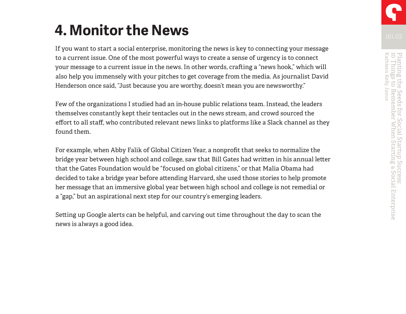### **4. Monitor the News**

If you want to start a social enterprise, monitoring the news is key to connecting your message to a current issue. One of the most powerful ways to create a sense of urgency is to connect your message to a current issue in the news. In other words, crafting a "news hook," which will also help you immensely with your pitches to get coverage from the media. As journalist David Henderson once said, "Just because you are worthy, doesn't mean you are newsworthy."

Few of the organizations I studied had an in-house public relations team. Instead, the leaders themselves constantly kept their tentacles out in the news stream, and crowd sourced the effort to all staff, who contributed relevant news links to platforms like a Slack channel as they found them.

For example, when Abby Falik of Global Citizen Year, a nonprofit that seeks to normalize the bridge year between high school and college, saw that Bill Gates had written in his annual letter that the Gates Foundation would be "focused on global citizens," or that Malia Obama had decided to take a bridge year before attending Harvard, she used those stories to help promote her message that an immersive global year between high school and college is not remedial or a "gap," but an aspirational next step for our country's emerging leaders.

Setting up Google alerts can be helpful, and carving out time throughout the day to scan the news is always a good idea.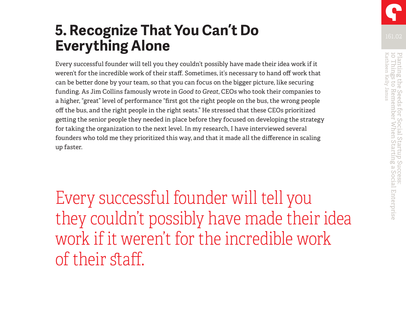### **5. Recognize That You Can't Do Everything Alone**

Every successful founder will tell you they couldn't possibly have made their idea work if it weren't for the incredible work of their staff. Sometimes, it's necessary to hand off work that can be better done by your team, so that you can focus on the bigger picture, like securing funding. As Jim Collins famously wrote in *Good to Great*, CEOs who took their companies to a higher, "great" level of performance "first got the right people on the bus, the wrong people off the bus, and the right people in the right seats." He stressed that these CEOs prioritized getting the senior people they needed in place before they focused on developing the strategy for taking the organization to the next level. In my research, I have interviewed several founders who told me they prioritized this way, and that it made all the difference in scaling up faster.

Every successful founder will tell you they couldn't possibly have made their idea work if it weren't for the incredible work of their staff.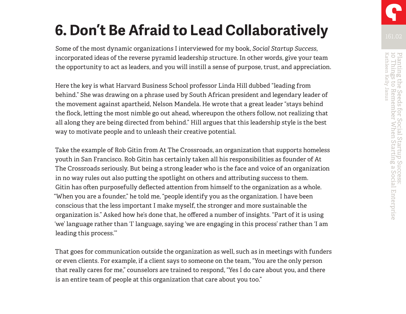### **6. Don't Be Afraid to Lead Collaboratively**

Some of the most dynamic organizations I interviewed for my book, *Social Startup Success*, incorporated ideas of the reverse pyramid leadership structure. In other words, give your team the opportunity to act as leaders, and you will instill a sense of purpose, trust, and appreciation.

Here the key is what Harvard Business School professor Linda Hill dubbed "leading from behind." She was drawing on a phrase used by South African president and legendary leader of the movement against apartheid, Nelson Mandela. He wrote that a great leader "stays behind the flock, letting the most nimble go out ahead, whereupon the others follow, not realizing that all along they are being directed from behind." Hill argues that this leadership style is the best way to motivate people and to unleash their creative potential.

Take the example of Rob Gitin from At The Crossroads, an organization that supports homeless youth in San Francisco. Rob Gitin has certainly taken all his responsibilities as founder of At The Crossroads seriously. But being a strong leader who is the face and voice of an organization in no way rules out also putting the spotlight on others and attributing success to them. Gitin has often purposefully deflected attention from himself to the organization as a whole. "When you are a founder," he told me, "people identify you as the organization. I have been conscious that the less important I make myself, the stronger and more sustainable the organization is." Asked how he's done that, he offered a number of insights. "Part of it is using 'we' language rather than 'I' language, saying 'we are engaging in this process' rather than 'I am leading this process.'"

That goes for communication outside the organization as well, such as in meetings with funders or even clients. For example, if a client says to someone on the team, "You are the only person that really cares for me," counselors are trained to respond, "Yes I do care about you, and there is an entire team of people at this organization that care about you too."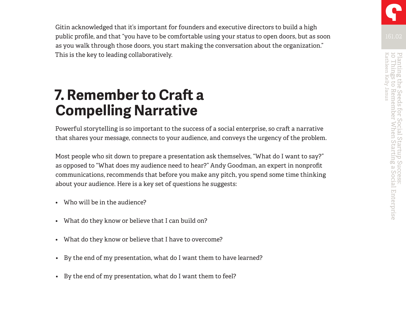Gitin acknowledged that it's important for founders and executive directors to build a high public profile, and that "you have to be comfortable using your status to open doors, but as soon as you walk through those doors, you start making the conversation about the organization." This is the key to leading collaboratively.

#### **7. Remember to Craft a Compelling Narrative**

Powerful storytelling is so important to the success of a social enterprise, so craft a narrative that shares your message, connects to your audience, and conveys the urgency of the problem.

Most people who sit down to prepare a presentation ask themselves, "What do I want to say?" as opposed to "What does my audience need to hear?" Andy Goodman, an expert in nonprofit communications, recommends that before you make any pitch, you spend some time thinking about your audience. Here is a key set of questions he suggests:

- Who will be in the audience?
- What do they know or believe that I can build on?
- What do they know or believe that I have to overcome?
- By the end of my presentation, what do I want them to have learned?
- By the end of my presentation, what do I want them to feel?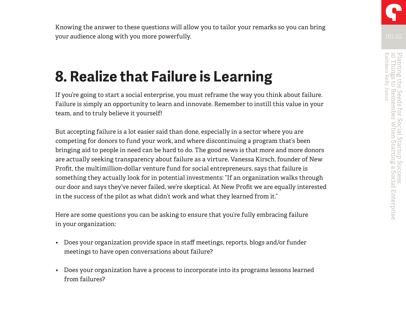Knowing the answer to these questions will allow you to tailor your remarks so you can bring your audience along with you more powerfully.

### **8. Realize that Failure is Learning**

If you're going to start a social enterprise, you must reframe the way you think about failure. Failure is simply an opportunity to learn and innovate. Remember to instill this value in your team, and to truly believe it yourself!

But accepting failure is a lot easier said than done, especially in a sector where you are competing for donors to fund your work, and where discontinuing a program that's been bringing aid to people in need can be hard to do. The good news is that more and more donors are actually seeking transparency about failure as a virture. Vanessa Kirsch, founder of New Profit, the multimillion-dollar venture fund for social entrepreneurs, says that failure is something they actually look for in potential investments: "If an organization walks through our door and says they've never failed, we're skeptical. At New Profit we are equally interested in the success of the pilot as what didn't work and what they learned from it."

Here are some questions you can be asking to ensure that you're fully embracing failure in your organization:

- Does your organization provide space in staff meetings, reports, blogs and/or funder meetings to have open conversations about failure?
- Does your organization have a process to incorporate into its programs lessons learned from failures?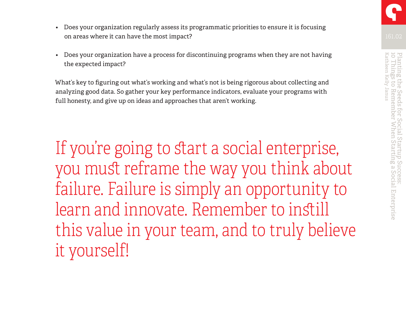- Does your organization regularly assess its programmatic priorities to ensure it is focusing on areas where it can have the most impact?
- Does your organization have a process for discontinuing programs when they are not having the expected impact?

What's key to figuring out what's working and what's not is being rigorous about collecting and analyzing good data. So gather your key performance indicators, evaluate your programs with full honesty, and give up on ideas and approaches that aren't working.

If you're going to start a social enterprise, you must reframe the way you think about failure. Failure is simply an opportunity to learn and innovate. Remember to instill this value in your team, and to truly believe it yourself!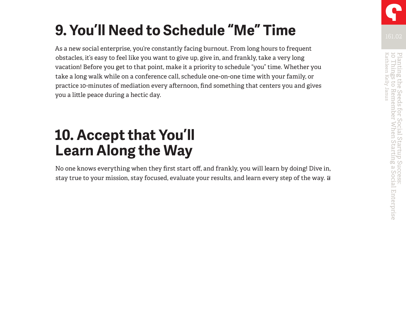## **9. You'll Need to Schedule "Me" Time**

As a new social enterprise, you're constantly facing burnout. From long hours to frequent obstacles, it's easy to feel like you want to give up, give in, and frankly, take a very long vacation! Before you get to that point, make it a priority to schedule "you" time. Whether you take a long walk while on a conference call, schedule one-on-one time with your family, or practice 10-minutes of mediation every afternoon, find something that centers you and gives you a little peace during a hectic day.

#### **10. Accept that You'll Learn Along the Way**

No one knows everything when they first start off, and frankly, you will learn by doing! Dive in, stay true to your mission, stay focused, evaluate your results, and learn every step of the way.  $\Box$